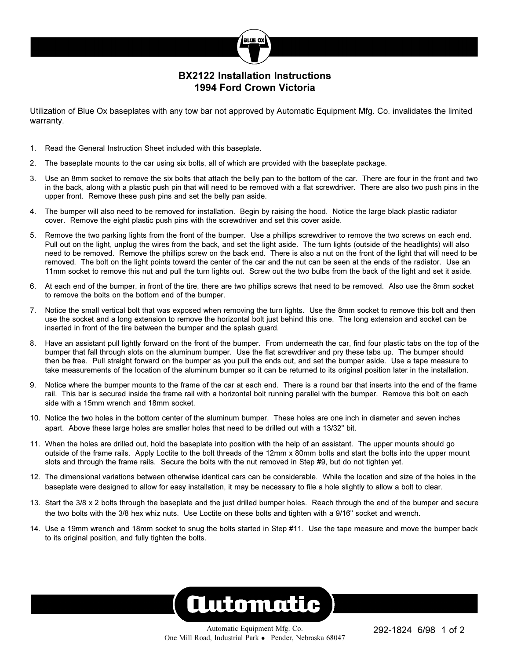

RUE OI

Utilization of Blue Ox baseplates with any tow bar not approved by Automatic Equipment Mfg. Co. invalidates the limited warranty.

- 1. Read the General Instruction Sheet included with this baseplate.
- 2. The baseplate mounts to the car using six bolts, all of which are provided with the baseplate package.
- 3. Use an 8mm socket to remove the six bolts that attach the belly pan to the bottom of the car. There are four in the front and two in the back, along with a plastic push pin that will need to be removed with a flat screwdriver. There are also two push pins in the upper front. Remove these push pins and set the belly pan aside.
- 4. The bumper will also need to be removed for installation. Begin by raising the hood. Notice the large black plastic radiator cover. Remove the eight plastic push pins with the screwdriver and set this cover aside.
- 5. Remove the two parking lights from the front of the bumper. Use a phillips screwdriver to remove the two screws on each end. Pull out on the light, unplug the wires from the back, and set the light aside. The turn lights (outside of the headlights) will also need to be removed. Remove the phillips screw on the back end. There is also a nut on the front of the light that will need to be removed. The bolt on the light points toward the center of the car and the nut can be seen at the ends of the radiator. Use an 11mm socket to remove this nut and pull the turn lights out. Screw out the two bulbs from the back of the light and set it aside.
- 6. At each end of the bumper, in front of the tire, there are two phillips screws that need to be removed. Also use the 8mm socket to remove the bolts on the bottom end of the bumper.
- 7. Notice the small vertical bolt that was exposed when removing the turn lights. Use the 8mm socket to remove this bolt and then use the socket and a long extension to remove the horizontal bolt just behind this one. The long extension and socket can be inserted in front of the tire between the bumper and the splash guard.
- 8. Have an assistant pull lightly forward on the front of the bumper. From underneath the car, find four plastic tabs on the top of the bumper that fall through slots on the aluminum bumper. Use the flat screwdriver and pry these tabs up. The bumper should then be free. Pull straight forward on the bumper as you pull the ends out, and set the bumper aside. Use a tape measure to take measurements of the location of the aluminum bumper so it can be returned to its original position later in the installation.
- 9. Notice where the bumper mounts to the frame of the car at each end. There is a round bar that inserts into the end of the frame rail. This bar is secured inside the frame rail with a horizontal bolt running parallel with the bumper. Remove this bolt on each side with a 15mm wrench and 18mm socket.
- 10. Notice the two holes in the bottom center of the aluminum bumper. These holes are one inch in diameter and seven inches apart. Above these large holes are smaller holes that need to be drilled out with a 13/32" bit.
- 11. When the holes are drilled out, hold the baseplate into position with the help of an assistant. The upper mounts should go outside of the frame rails. Apply Loctite to the bolt threads of the 12mm x 80mm bolts and start the bolts into the upper mount slots and through the frame rails. Secure the bolts with the nut removed in Step #9, but do not tighten yet.
- 12. The dimensional variations between otherwise identical cars can be considerable. While the location and size of the holes in the baseplate were designed to allow for easy installation, it may be necessary to file a hole slightly to allow a bolt to clear.
- 13. Start the 3/8 x 2 bolts through the baseplate and the just drilled bumper holes. Reach through the end of the bumper and secure the two bolts with the 3/8 hex whiz nuts. Use Loctite on these bolts and tighten with a 9/16" socket and wrench.
- 14. Use a 19mm wrench and 18mm socket to snug the bolts started in Step #11. Use the tape measure and move the bumper back to its original position, and fully tighten the bolts.

## **Automatic**